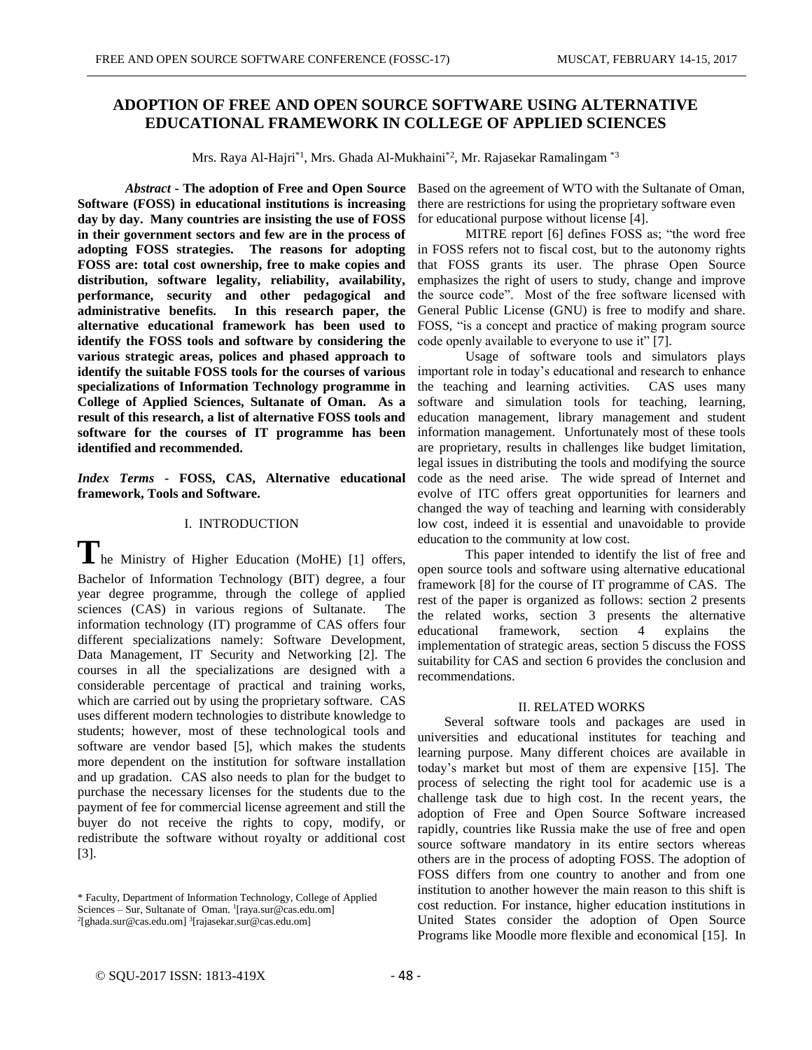# **ADOPTION OF FREE AND OPEN SOURCE SOFTWARE USING ALTERNATIVE EDUCATIONAL FRAMEWORK IN COLLEGE OF APPLIED SCIENCES**

Mrs. Raya Al-Hajri $*$ <sup>1</sup>, Mrs. Ghada Al-Mukhaini $*$ <sup>2</sup>, Mr. Rajasekar Ramalingam  $*$ 3

*Abstract* **- The adoption of Free and Open Source Software (FOSS) in educational institutions is increasing day by day. Many countries are insisting the use of FOSS in their government sectors and few are in the process of adopting FOSS strategies. The reasons for adopting FOSS are: total cost ownership, free to make copies and distribution, software legality, reliability, availability, performance, security and other pedagogical and administrative benefits. In this research paper, the alternative educational framework has been used to identify the FOSS tools and software by considering the various strategic areas, polices and phased approach to identify the suitable FOSS tools for the courses of various specializations of Information Technology programme in College of Applied Sciences, Sultanate of Oman. As a result of this research, a list of alternative FOSS tools and software for the courses of IT programme has been identified and recommended.**

*Index Terms* **- FOSS, CAS, Alternative educational framework, Tools and Software.**

## I. INTRODUCTION

**T**he Ministry of Higher Education (MoHE) [1] offers, Bachelor of Information Technology (BIT) degree, a four year degree programme, through the college of applied sciences (CAS) in various regions of Sultanate. The information technology (IT) programme of CAS offers four different specializations namely: Software Development, Data Management, IT Security and Networking [2]. The courses in all the specializations are designed with a considerable percentage of practical and training works, which are carried out by using the proprietary software. CAS uses different modern technologies to distribute knowledge to students; however, most of these technological tools and software are vendor based [5], which makes the students more dependent on the institution for software installation and up gradation. CAS also needs to plan for the budget to purchase the necessary licenses for the students due to the payment of fee for commercial license agreement and still the buyer do not receive the rights to copy, modify, or redistribute the software without royalty or additional cost [3].

Based on the agreement of WTO with the Sultanate of Oman, there are restrictions for using the proprietary software even for educational purpose without license [4].

MITRE report [6] defines FOSS as; "the word free in FOSS refers not to fiscal cost, but to the autonomy rights that FOSS grants its user. The phrase Open Source emphasizes the right of users to study, change and improve the source code". Most of the free software licensed with General Public License (GNU) is free to modify and share. FOSS, "is a concept and practice of making program source code openly available to everyone to use it" [7].

Usage of software tools and simulators plays important role in today's educational and research to enhance the teaching and learning activities. CAS uses many software and simulation tools for teaching, learning, education management, library management and student information management. Unfortunately most of these tools are proprietary, results in challenges like budget limitation, legal issues in distributing the tools and modifying the source code as the need arise. The wide spread of Internet and evolve of ITC offers great opportunities for learners and changed the way of teaching and learning with considerably low cost, indeed it is essential and unavoidable to provide education to the community at low cost.

This paper intended to identify the list of free and open source tools and software using alternative educational framework [8] for the course of IT programme of CAS. The rest of the paper is organized as follows: section 2 presents the related works, section 3 presents the alternative educational framework, section 4 explains the implementation of strategic areas, section 5 discuss the FOSS suitability for CAS and section 6 provides the conclusion and recommendations.

## II. RELATED WORKS

 Several software tools and packages are used in universities and educational institutes for teaching and learning purpose. Many different choices are available in today's market but most of them are expensive [15]. The process of selecting the right tool for academic use is a challenge task due to high cost. In the recent years, the adoption of Free and Open Source Software increased rapidly, countries like Russia make the use of free and open source software mandatory in its entire sectors whereas others are in the process of adopting FOSS. The adoption of FOSS differs from one country to another and from one institution to another however the main reason to this shift is cost reduction. For instance, higher education institutions in United States consider the adoption of Open Source Programs like Moodle more flexible and economical [15]. In

<sup>\*</sup> Faculty, Department of Information Technology, College of Applied Sciences – Sur, Sultanate of Oman. <sup>1</sup>[raya.sur@cas.edu.om] <sup>2</sup>[ghada.sur@cas.edu.om]<sup>3</sup>[rajasekar.sur@cas.edu.om]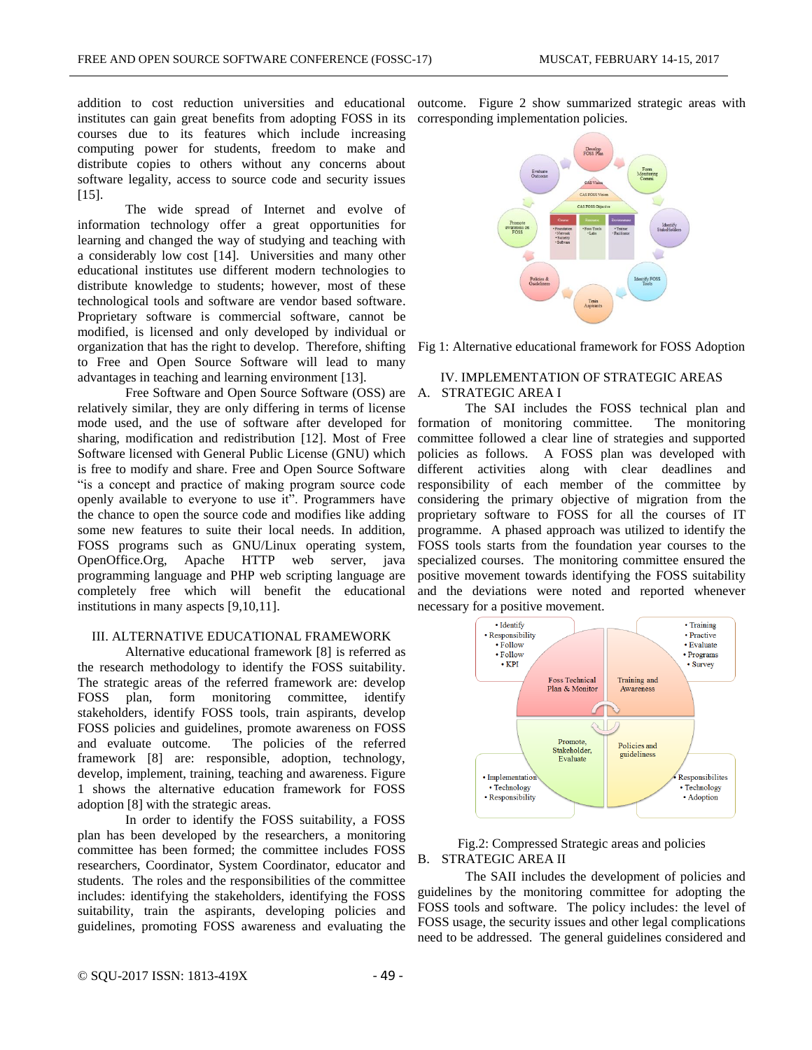institutes can gain great benefits from adopting FOSS in its corresponding implementation policies. courses due to its features which include increasing computing power for students, freedom to make and distribute copies to others without any concerns about software legality, access to source code and security issues [15].

The wide spread of Internet and evolve of information technology offer a great opportunities for learning and changed the way of studying and teaching with a considerably low cost [14]. Universities and many other educational institutes use different modern technologies to distribute knowledge to students; however, most of these technological tools and software are vendor based software. Proprietary software is commercial software, cannot be modified, is licensed and only developed by individual or organization that has the right to develop. Therefore, shifting to Free and Open Source Software will lead to many advantages in teaching and learning environment [13].

Free Software and Open Source Software (OSS) are relatively similar, they are only differing in terms of license mode used, and the use of software after developed for sharing, modification and redistribution [12]. Most of Free Software licensed with General Public License (GNU) which is free to modify and share. Free and Open Source Software "is a concept and practice of making program source code openly available to everyone to use it". Programmers have the chance to open the source code and modifies like adding some new features to suite their local needs. In addition, FOSS programs such as GNU/Linux operating system, OpenOffice.Org, Apache HTTP web server, java programming language and PHP web scripting language are completely free which will benefit the educational institutions in many aspects [9,10,11].

## III. ALTERNATIVE EDUCATIONAL FRAMEWORK

Alternative educational framework [8] is referred as the research methodology to identify the FOSS suitability. The strategic areas of the referred framework are: develop FOSS plan, form monitoring committee, identify stakeholders, identify FOSS tools, train aspirants, develop FOSS policies and guidelines, promote awareness on FOSS and evaluate outcome. The policies of the referred framework [8] are: responsible, adoption, technology, develop, implement, training, teaching and awareness. Figure 1 shows the alternative education framework for FOSS adoption [8] with the strategic areas.

In order to identify the FOSS suitability, a FOSS plan has been developed by the researchers, a monitoring committee has been formed; the committee includes FOSS researchers, Coordinator, System Coordinator, educator and students. The roles and the responsibilities of the committee includes: identifying the stakeholders, identifying the FOSS suitability, train the aspirants, developing policies and guidelines, promoting FOSS awareness and evaluating the

addition to cost reduction universities and educational outcome. Figure 2 show summarized strategic areas with



Fig 1: Alternative educational framework for FOSS Adoption

## IV. IMPLEMENTATION OF STRATEGIC AREAS A. STRATEGIC AREA I

The SAI includes the FOSS technical plan and formation of monitoring committee. The monitoring committee followed a clear line of strategies and supported policies as follows. A FOSS plan was developed with different activities along with clear deadlines and responsibility of each member of the committee by considering the primary objective of migration from the proprietary software to FOSS for all the courses of IT programme. A phased approach was utilized to identify the FOSS tools starts from the foundation year courses to the specialized courses. The monitoring committee ensured the positive movement towards identifying the FOSS suitability and the deviations were noted and reported whenever necessary for a positive movement.



## Fig.2: Compressed Strategic areas and policies B. STRATEGIC AREA II

The SAII includes the development of policies and guidelines by the monitoring committee for adopting the FOSS tools and software. The policy includes: the level of FOSS usage, the security issues and other legal complications need to be addressed. The general guidelines considered and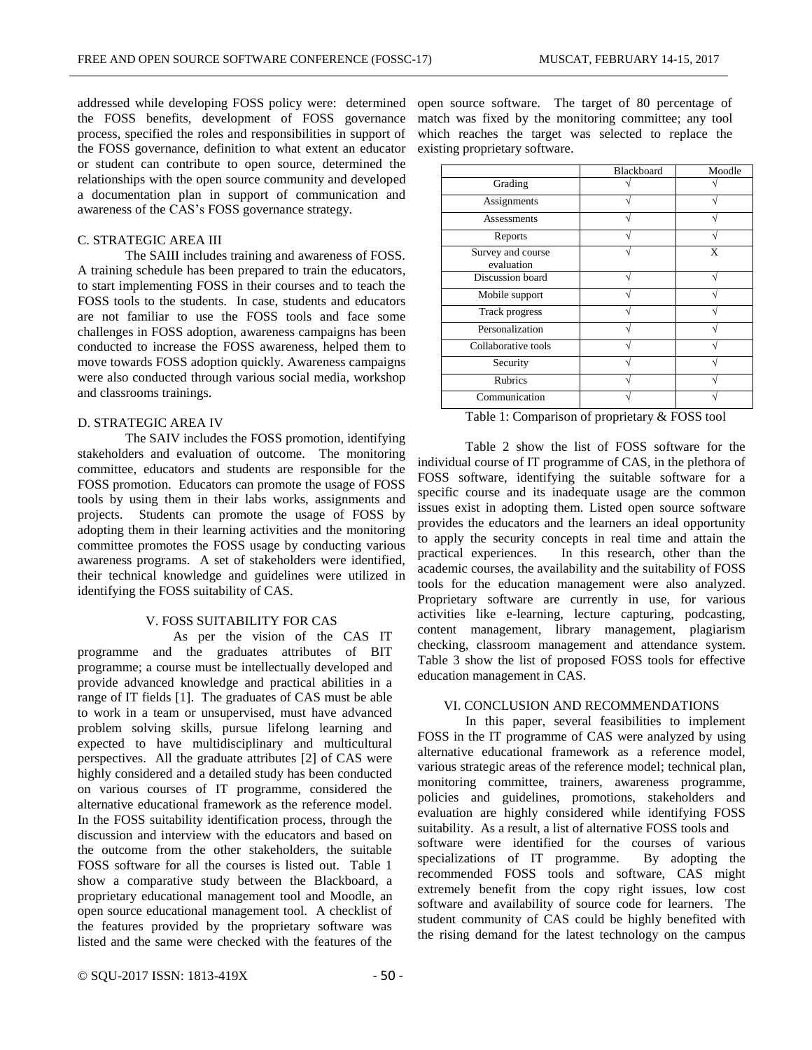addressed while developing FOSS policy were: determined the FOSS benefits, development of FOSS governance process, specified the roles and responsibilities in support of the FOSS governance, definition to what extent an educator or student can contribute to open source, determined the relationships with the open source community and developed a documentation plan in support of communication and awareness of the CAS's FOSS governance strategy.

## C. STRATEGIC AREA III

The SAIII includes training and awareness of FOSS. A training schedule has been prepared to train the educators, to start implementing FOSS in their courses and to teach the FOSS tools to the students. In case, students and educators are not familiar to use the FOSS tools and face some challenges in FOSS adoption, awareness campaigns has been conducted to increase the FOSS awareness, helped them to move towards FOSS adoption quickly. Awareness campaigns were also conducted through various social media, workshop and classrooms trainings.

## D. STRATEGIC AREA IV

The SAIV includes the FOSS promotion, identifying stakeholders and evaluation of outcome. The monitoring committee, educators and students are responsible for the FOSS promotion. Educators can promote the usage of FOSS tools by using them in their labs works, assignments and projects. Students can promote the usage of FOSS by adopting them in their learning activities and the monitoring committee promotes the FOSS usage by conducting various awareness programs. A set of stakeholders were identified, their technical knowledge and guidelines were utilized in identifying the FOSS suitability of CAS.

## V. FOSS SUITABILITY FOR CAS

As per the vision of the CAS IT programme and the graduates attributes of BIT programme; a course must be intellectually developed and provide advanced knowledge and practical abilities in a range of IT fields [1]. The graduates of CAS must be able to work in a team or unsupervised, must have advanced problem solving skills, pursue lifelong learning and expected to have multidisciplinary and multicultural perspectives. All the graduate attributes [2] of CAS were highly considered and a detailed study has been conducted on various courses of IT programme, considered the alternative educational framework as the reference model. In the FOSS suitability identification process, through the discussion and interview with the educators and based on the outcome from the other stakeholders, the suitable FOSS software for all the courses is listed out. Table 1 show a comparative study between the Blackboard, a proprietary educational management tool and Moodle, an open source educational management tool. A checklist of the features provided by the proprietary software was listed and the same were checked with the features of the open source software. The target of 80 percentage of match was fixed by the monitoring committee; any tool which reaches the target was selected to replace the existing proprietary software.

|                                 | Blackboard | Moodle |
|---------------------------------|------------|--------|
| Grading                         |            |        |
| Assignments                     |            |        |
| Assessments                     |            |        |
| Reports                         |            |        |
| Survey and course<br>evaluation |            | X      |
| Discussion board                |            |        |
| Mobile support                  |            |        |
| <b>Track progress</b>           |            |        |
| Personalization                 |            |        |
| Collaborative tools             |            |        |
| Security                        |            |        |
| <b>Rubrics</b>                  |            |        |
| Communication                   |            |        |

Table 1: Comparison of proprietary & FOSS tool

Table 2 show the list of FOSS software for the individual course of IT programme of CAS, in the plethora of FOSS software, identifying the suitable software for a specific course and its inadequate usage are the common issues exist in adopting them. Listed open source software provides the educators and the learners an ideal opportunity to apply the security concepts in real time and attain the practical experiences. In this research, other than the academic courses, the availability and the suitability of FOSS tools for the education management were also analyzed. Proprietary software are currently in use, for various activities like e-learning, lecture capturing, podcasting, content management, library management, plagiarism checking, classroom management and attendance system. Table 3 show the list of proposed FOSS tools for effective education management in CAS.

### VI. CONCLUSION AND RECOMMENDATIONS

In this paper, several feasibilities to implement FOSS in the IT programme of CAS were analyzed by using alternative educational framework as a reference model, various strategic areas of the reference model; technical plan, monitoring committee, trainers, awareness programme, policies and guidelines, promotions, stakeholders and evaluation are highly considered while identifying FOSS suitability. As a result, a list of alternative FOSS tools and software were identified for the courses of various specializations of IT programme. By adopting the recommended FOSS tools and software, CAS might extremely benefit from the copy right issues, low cost software and availability of source code for learners. The student community of CAS could be highly benefited with the rising demand for the latest technology on the campus